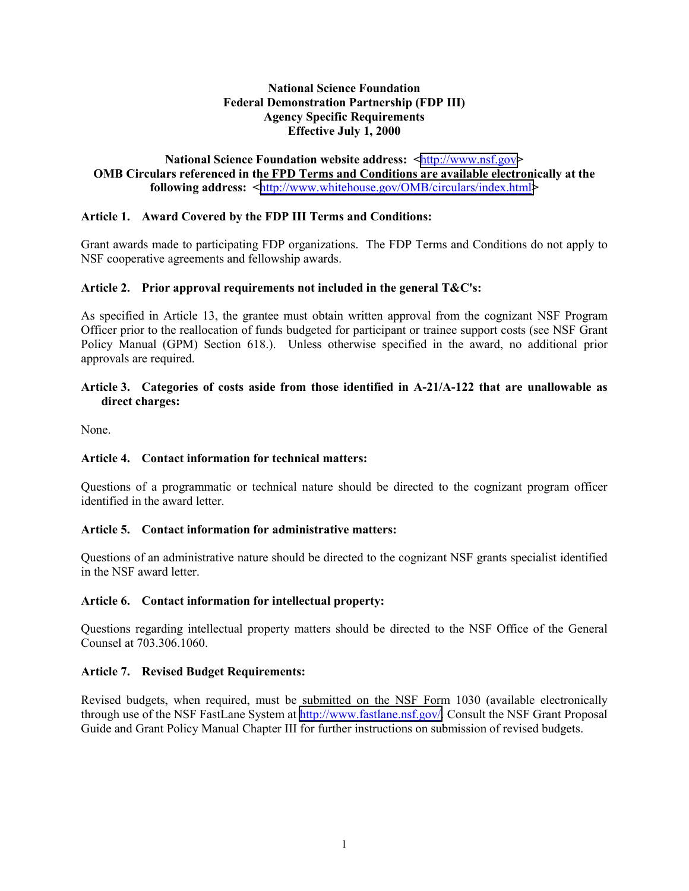## **National Science Foundation Federal Demonstration Partnership (FDP III) Agency Specific Requirements Effective July 1, 2000**

#### **National Science Foundation website address: <**[http://www.nsf.gov](http://www.nsf.gov/)**> OMB Circulars referenced in the FPD Terms and Conditions are available electronically at the following address: <**[http://www.whitehouse.gov/OMB/circulars/index.html](http://www.whitehouse.gov/WH/EOP/OMB/html/circular.html)**>**

## **Article 1. Award Covered by the FDP III Terms and Conditions:**

Grant awards made to participating FDP organizations. The FDP Terms and Conditions do not apply to NSF cooperative agreements and fellowship awards.

### **Article 2. Prior approval requirements not included in the general T&C's:**

As specified in Article 13, the grantee must obtain written approval from the cognizant NSF Program Officer prior to the reallocation of funds budgeted for participant or trainee support costs (see NSF Grant Policy Manual (GPM) Section 618.). Unless otherwise specified in the award, no additional prior approvals are required.

### **Article 3. Categories of costs aside from those identified in A-21/A-122 that are unallowable as direct charges:**

None.

### **Article 4. Contact information for technical matters:**

Questions of a programmatic or technical nature should be directed to the cognizant program officer identified in the award letter.

### **Article 5. Contact information for administrative matters:**

Questions of an administrative nature should be directed to the cognizant NSF grants specialist identified in the NSF award letter.

### **Article 6. Contact information for intellectual property:**

Questions regarding intellectual property matters should be directed to the NSF Office of the General Counsel at 703.306.1060.

### **Article 7. Revised Budget Requirements:**

Revised budgets, when required, must be submitted on the NSF Form 1030 (available electronically through use of the NSF FastLane System at [http://www.fastlane.nsf.gov/.](http://www.fastlane.nsf.gov/) Consult the NSF Grant Proposal Guide and Grant Policy Manual Chapter III for further instructions on submission of revised budgets.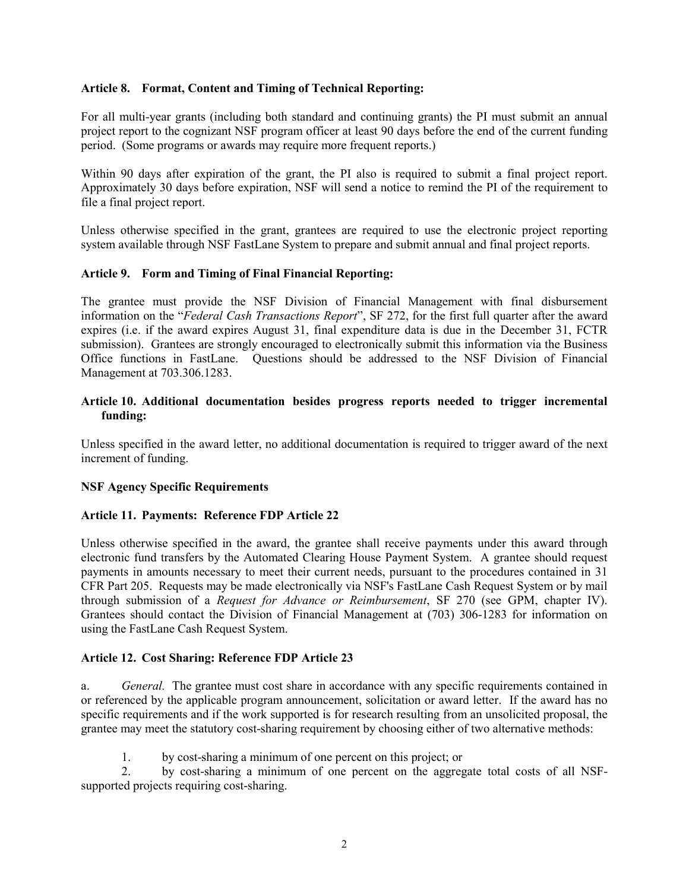### **Article 8. Format, Content and Timing of Technical Reporting:**

For all multi-year grants (including both standard and continuing grants) the PI must submit an annual project report to the cognizant NSF program officer at least 90 days before the end of the current funding period. (Some programs or awards may require more frequent reports.)

Within 90 days after expiration of the grant, the PI also is required to submit a final project report. Approximately 30 days before expiration, NSF will send a notice to remind the PI of the requirement to file a final project report.

Unless otherwise specified in the grant, grantees are required to use the electronic project reporting system available through NSF FastLane System to prepare and submit annual and final project reports.

### **Article 9. Form and Timing of Final Financial Reporting:**

The grantee must provide the NSF Division of Financial Management with final disbursement information on the "*Federal Cash Transactions Report*", SF 272, for the first full quarter after the award expires (i.e. if the award expires August 31, final expenditure data is due in the December 31, FCTR submission). Grantees are strongly encouraged to electronically submit this information via the Business Office functions in FastLane. Questions should be addressed to the NSF Division of Financial Management at 703.306.1283.

## **Article 10. Additional documentation besides progress reports needed to trigger incremental funding:**

Unless specified in the award letter, no additional documentation is required to trigger award of the next increment of funding.

### **NSF Agency Specific Requirements**

### **Article 11. Payments: Reference FDP Article 22**

Unless otherwise specified in the award, the grantee shall receive payments under this award through electronic fund transfers by the Automated Clearing House Payment System. A grantee should request payments in amounts necessary to meet their current needs, pursuant to the procedures contained in 31 CFR Part 205. Requests may be made electronically via NSF's FastLane Cash Request System or by mail through submission of a *Request for Advance or Reimbursement*, SF 270 (see GPM, chapter IV). Grantees should contact the Division of Financial Management at (703) 306-1283 for information on using the FastLane Cash Request System.

### **Article 12. Cost Sharing: Reference FDP Article 23**

a. *General.* The grantee must cost share in accordance with any specific requirements contained in or referenced by the applicable program announcement, solicitation or award letter. If the award has no specific requirements and if the work supported is for research resulting from an unsolicited proposal, the grantee may meet the statutory cost-sharing requirement by choosing either of two alternative methods:

1. by cost-sharing a minimum of one percent on this project; or

2. by cost-sharing a minimum of one percent on the aggregate total costs of all NSFsupported projects requiring cost-sharing.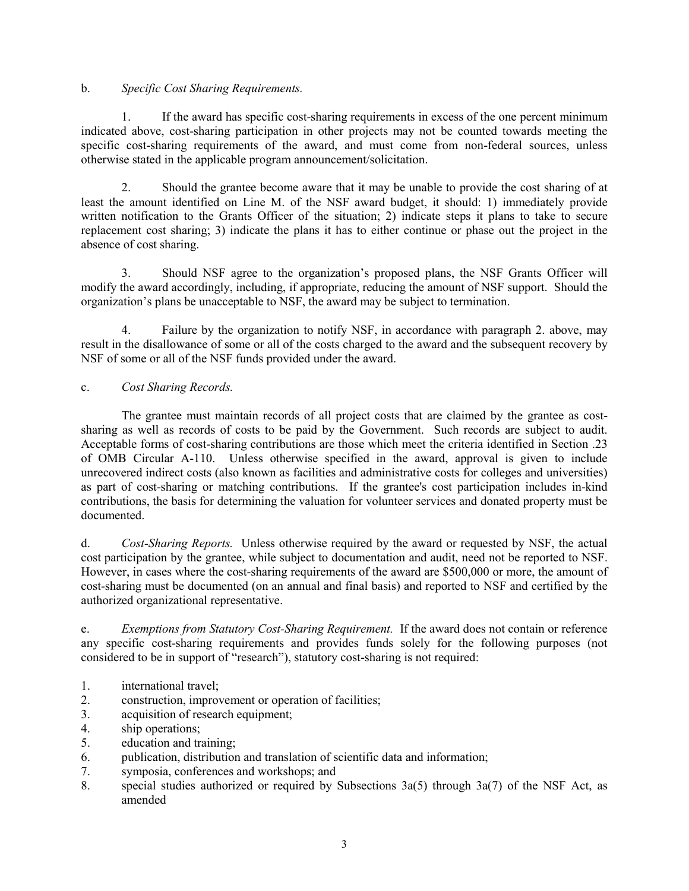# b. *Specific Cost Sharing Requirements.*

1. If the award has specific cost-sharing requirements in excess of the one percent minimum indicated above, cost-sharing participation in other projects may not be counted towards meeting the specific cost-sharing requirements of the award, and must come from non-federal sources, unless otherwise stated in the applicable program announcement/solicitation.

2. Should the grantee become aware that it may be unable to provide the cost sharing of at least the amount identified on Line M. of the NSF award budget, it should: 1) immediately provide written notification to the Grants Officer of the situation; 2) indicate steps it plans to take to secure replacement cost sharing; 3) indicate the plans it has to either continue or phase out the project in the absence of cost sharing.

3. Should NSF agree to the organization's proposed plans, the NSF Grants Officer will modify the award accordingly, including, if appropriate, reducing the amount of NSF support. Should the organization's plans be unacceptable to NSF, the award may be subject to termination.

4. Failure by the organization to notify NSF, in accordance with paragraph 2. above, may result in the disallowance of some or all of the costs charged to the award and the subsequent recovery by NSF of some or all of the NSF funds provided under the award.

# c. *Cost Sharing Records.*

The grantee must maintain records of all project costs that are claimed by the grantee as costsharing as well as records of costs to be paid by the Government. Such records are subject to audit. Acceptable forms of cost-sharing contributions are those which meet the criteria identified in Section .23 of OMB Circular A-110. Unless otherwise specified in the award, approval is given to include unrecovered indirect costs (also known as facilities and administrative costs for colleges and universities) as part of cost-sharing or matching contributions. If the grantee's cost participation includes in-kind contributions, the basis for determining the valuation for volunteer services and donated property must be documented.

d. *Cost-Sharing Reports.* Unless otherwise required by the award or requested by NSF, the actual cost participation by the grantee, while subject to documentation and audit, need not be reported to NSF. However, in cases where the cost-sharing requirements of the award are \$500,000 or more, the amount of cost-sharing must be documented (on an annual and final basis) and reported to NSF and certified by the authorized organizational representative.

e. *Exemptions from Statutory Cost-Sharing Requirement.* If the award does not contain or reference any specific cost-sharing requirements and provides funds solely for the following purposes (not considered to be in support of "research"), statutory cost-sharing is not required:

- 1. international travel;
- 2. construction, improvement or operation of facilities;
- 3. acquisition of research equipment;
- 4. ship operations;<br>5. education and tra
- education and training;
- 6. publication, distribution and translation of scientific data and information;
- 7. symposia, conferences and workshops; and
- 8. special studies authorized or required by Subsections 3a(5) through 3a(7) of the NSF Act, as amended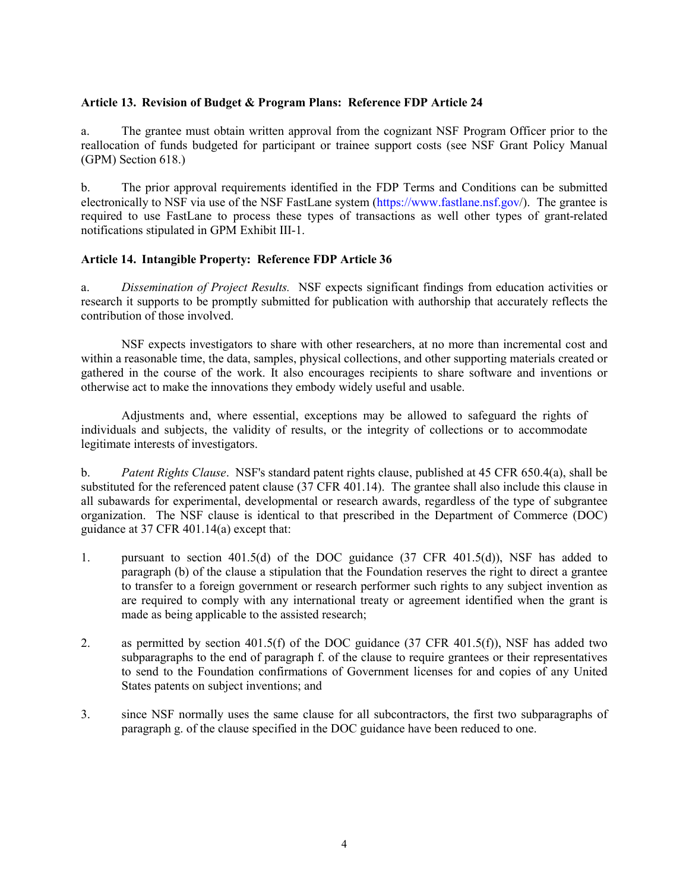## **Article 13. Revision of Budget & Program Plans: Reference FDP Article 24**

a. The grantee must obtain written approval from the cognizant NSF Program Officer prior to the reallocation of funds budgeted for participant or trainee support costs (see NSF Grant Policy Manual (GPM) Section 618.)

b. The prior approval requirements identified in the FDP Terms and Conditions can be submitted electronically to NSF via use of the NSF FastLane system (https://www.fastlane.nsf.gov/). The grantee is required to use FastLane to process these types of transactions as well other types of grant-related notifications stipulated in GPM Exhibit III-1.

## **Article 14. Intangible Property: Reference FDP Article 36**

a. *Dissemination of Project Results.* NSF expects significant findings from education activities or research it supports to be promptly submitted for publication with authorship that accurately reflects the contribution of those involved.

NSF expects investigators to share with other researchers, at no more than incremental cost and within a reasonable time, the data, samples, physical collections, and other supporting materials created or gathered in the course of the work. It also encourages recipients to share software and inventions or otherwise act to make the innovations they embody widely useful and usable.

Adjustments and, where essential, exceptions may be allowed to safeguard the rights of individuals and subjects, the validity of results, or the integrity of collections or to accommodate legitimate interests of investigators.

b. *Patent Rights Clause*. NSF's standard patent rights clause, published at 45 CFR 650.4(a), shall be substituted for the referenced patent clause (37 CFR 401.14). The grantee shall also include this clause in all subawards for experimental, developmental or research awards, regardless of the type of subgrantee organization. The NSF clause is identical to that prescribed in the Department of Commerce (DOC) guidance at 37 CFR 401.14(a) except that:

- 1. pursuant to section 401.5(d) of the DOC guidance (37 CFR 401.5(d)), NSF has added to paragraph (b) of the clause a stipulation that the Foundation reserves the right to direct a grantee to transfer to a foreign government or research performer such rights to any subject invention as are required to comply with any international treaty or agreement identified when the grant is made as being applicable to the assisted research;
- 2. as permitted by section 401.5(f) of the DOC guidance (37 CFR 401.5(f)), NSF has added two subparagraphs to the end of paragraph f. of the clause to require grantees or their representatives to send to the Foundation confirmations of Government licenses for and copies of any United States patents on subject inventions; and
- 3. since NSF normally uses the same clause for all subcontractors, the first two subparagraphs of paragraph g. of the clause specified in the DOC guidance have been reduced to one.